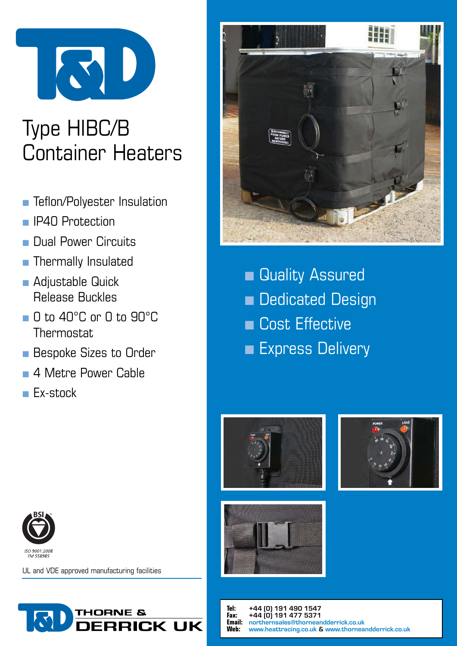

# Type HIBC/B Container Heaters

- **n** Teflon/Polyester Insulation
- **n** IP40 Protection
- **n** Dual Power Circuits
- **n** Thermally Insulated
- **n** Adjustable Quick Release Buckles
- n 0 to 40°C or 0 to 90°C **Thermostat**
- **n** Bespoke Sizes to Order
- 4 Metre Power Cable
- **n** Ex-stock



**n** Quality Assured **n** Dedicated Design **n** Cost Effective **Express Delivery** 









UL and VDE approved manufacturing facilities